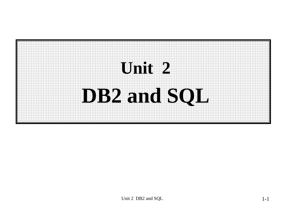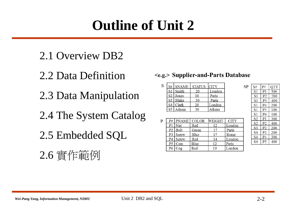## **Outline of Unit 2**

- 2.1 Overview DB2
- 2.2 Data Definition
- 2.3 Data Manipulation
- 2.4 The System Catalog
- 2.5 Embedded SQL
- 2.6 實作範例

#### <e.g.> Supplier-and-Parts Database

| S | S#             | <b>SNAME</b> | <b>STATUS</b> | <b>CITY</b> |
|---|----------------|--------------|---------------|-------------|
|   | S <sub>1</sub> | Smith        | 20            | London      |
|   | S <sub>2</sub> | Jones        |               | Paris       |
|   |                | $S3$   Blake | 30            | Paris       |
|   | S4             | Clark        | 20            | London      |
|   | S <sub>5</sub> | Adams        | 30            | ⊾thens      |

| P | P#             | <b>PNAME</b> | COLOR | WEIGHT | <b>CITY</b> |
|---|----------------|--------------|-------|--------|-------------|
|   | P <sub>1</sub> | Nut          | Red   | 12     | London      |
|   | P <sub>2</sub> | Bolt         | Green |        | Paris       |
|   | P3             | Screw        | Blue  |        | Rome        |
|   | P4             | Screw        | Red   | 14     | London      |
|   | P <sub>5</sub> | Cam          | Blue  | 12     | Paris       |
|   | P6             | $\cos$       | Red   | 19     | London      |

| S# | P#             | QTY |
|----|----------------|-----|
| S1 | P1             | 300 |
| S1 | P2             | 200 |
| S1 | P3             | 400 |
| S1 | P4             | 200 |
| S1 | P5             | 100 |
| S1 | P6             | 100 |
| S2 | P1             | 300 |
| S2 | P <sub>2</sub> | 400 |
| S3 | P <sub>2</sub> | 200 |
| S4 | P <sub>2</sub> | 200 |
| S4 | P4             | 300 |
| S4 | P <sub>5</sub> | 400 |

 $SP$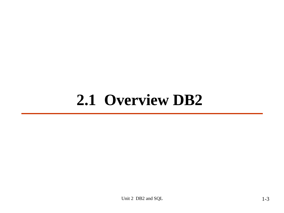# **2.1 Overview DB2**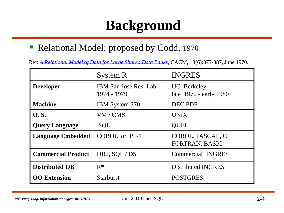## **Background**

■ Relational Model: proposed by Codd, 1970

Ref: *[A Relational Model of Data for Large Shared Data Banks](http://dret.net/biblio/titles#cod70)*, CACM, 13(6):377-387, June 1970.

|                           | System R                                    | <b>INGRES</b>                                |
|---------------------------|---------------------------------------------|----------------------------------------------|
| <b>Developer</b>          | <b>IBM</b> San Jose Res. Lab<br>1974 - 1979 | <b>UC</b> Berkeley<br>late 1970 - early 1980 |
| <b>Machine</b>            | <b>IBM</b> System 370                       | DEC PDP                                      |
| <b>O.S.</b>               | VM / CMS                                    | <b>UNIX</b>                                  |
| <b>Query Language</b>     | <b>SQL</b>                                  | <b>QUEL</b>                                  |
| <b>Language Embedded</b>  | COBOL or PL/1                               | COBOL, PASCAL, C<br>FORTRAN, BASIC           |
| <b>Commercial Product</b> | DB2, SQL/DS                                 | <b>Commercial INGRES</b>                     |
| <b>Distributed OB</b>     | $R^*$                                       | Distributed INGRES                           |
| <b>OO</b> Extension       | <b>Starburst</b>                            | <b>POSTGRES</b>                              |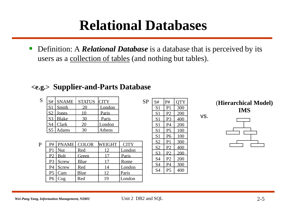## **Relational Databases**

■ Definition: A *Relational Database* is a database that is perceived by its users as a collection of tables (and nothing but tables).

#### **<e.g.> Supplier-and-Parts Database**

| S | S#             | <b>SNAME</b> | <b>STATUS</b> | <b>CITY</b> |
|---|----------------|--------------|---------------|-------------|
|   | S <sub>1</sub> | Smith        |               | London      |
|   | S2             | Jones        |               | Paris       |
|   | S <sub>3</sub> | <b>Blake</b> |               | Paris       |
|   |                | Clark        | 20            | London      |
|   | S <sub>5</sub> | Adams        |               | Athens      |

| P |                |              | P# PNAME COLOR WEIGHT |    | <b>CITY</b> |
|---|----------------|--------------|-----------------------|----|-------------|
|   | P <sub>1</sub> | Nut          | Red                   | 12 | London      |
|   | P <sub>2</sub> | <b>Bolt</b>  | Green                 |    | Paris       |
|   | P <sub>3</sub> | Screw        | <b>Blue</b>           |    | Rome        |
|   | P4             | <b>Screw</b> | Red                   | 14 | London      |
|   | P <sub>5</sub> | Cam          | Blue                  | 12 | Paris       |
|   | P <sub>6</sub> | Cog          | Red                   | 19 | London      |

|                |                | c   |
|----------------|----------------|-----|
| S <sub>1</sub> | P <sub>1</sub> | 300 |
| S <sub>1</sub> | P <sub>2</sub> | 200 |
| S <sub>1</sub> | P3             | 400 |
| S <sub>1</sub> | P4             | 200 |
| S <sub>1</sub> | P <sub>5</sub> | 100 |
| S <sub>1</sub> | P <sub>6</sub> | 100 |
| S <sub>2</sub> | P <sub>1</sub> | 300 |
| S <sub>2</sub> | P <sub>2</sub> | 400 |
| S <sub>3</sub> | P <sub>2</sub> | 200 |
| S <sub>4</sub> | P <sub>2</sub> | 200 |
| S4             | P <sub>4</sub> | 300 |
| S4             | P <sub>5</sub> | 400 |

 $SP | S# | P# |$  OTY

**(Hierarchical Model) IMS**

vs.

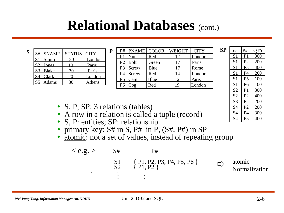## **Relational Databases** (cont.)

| S | S#             | <b>SNAME</b> | STATUS CITY |        |
|---|----------------|--------------|-------------|--------|
|   | $\sqrt{S}$     | Smith        |             | London |
|   | S <sub>2</sub> | Jones        |             | Paris  |
|   | S <sub>3</sub> | <b>Blake</b> |             | Paris  |
|   |                | Clark        | 20          | London |
|   | S <sub>5</sub> | Adams        |             | Athens |

| P | P#             |             | PNAME   COLOR | <b>WEIGHT</b> | <b>CITY</b> | <b>SP</b> | S#             | P# | <b>OTY</b> |
|---|----------------|-------------|---------------|---------------|-------------|-----------|----------------|----|------------|
|   | P1             | Nut         | Red           | 12            | London      |           | S <sub>1</sub> | P1 | 300        |
|   | $\mathbf{p}$   | <b>Bolt</b> | Green         |               | Paris       |           | S <sub>1</sub> | P2 | 200        |
|   | P <sub>3</sub> | Screw       | Blue          |               | Rome        |           | S <sub>1</sub> | P3 | 400        |
|   | P4             | Screw       | Red           | 14            | London      |           | S <sub>1</sub> | P4 | 200        |
|   | P5             | Cam         | Blue          | 12            | Paris       |           | S <sub>1</sub> | P5 | 100        |
|   | P6             | Cog         | Red           | 19            | London      |           | S <sub>1</sub> | P6 | 100        |
|   |                |             |               |               |             |           |                |    |            |

| SP | S#             | P#             | <b>OTY</b> |
|----|----------------|----------------|------------|
|    | S <sub>1</sub> | P <sub>1</sub> | 300        |
|    | S <sub>1</sub> | P <sub>2</sub> | 200        |
|    | S <sub>1</sub> | P <sub>3</sub> | 400        |
|    | S <sub>1</sub> | P4             | 200        |
|    | S <sub>1</sub> | P <sub>5</sub> | 100        |
|    | S <sub>1</sub> | P <sub>6</sub> | 100        |
|    | S <sub>2</sub> | P <sub>1</sub> | 300        |
|    | S <sub>2</sub> | P <sub>2</sub> | 400        |
|    | S <sub>3</sub> | P <sub>2</sub> | 200        |
|    | <b>S4</b>      | P <sub>2</sub> | 200        |
|    | S <sub>4</sub> | <b>P4</b>      | 300        |
|    | <b>S4</b>      | P <sub>5</sub> | 400        |

- S, P, SP: 3 relations (tables)
- A row in a relation is called a tuple (record)
- S, P: entities; SP: relationship
- primary key:  $S#$  in S,  $P#$  in  $\tilde{P}$ ,  $(S#, P#)$  in SP
- atomic: not a set of values, instead of repeating group

$$
\langle e.g. \rangle \qquad \underset{S2}{\text{S#}} \qquad \underset{[P1, P2, P3, P4, P5, P6]}{\text{P#}} \qquad \underset{[P1, P2]}}{\longrightarrow} \qquad \text{atomic} \qquad \underset{[P1, P2]}}{\text{Mormalization}}
$$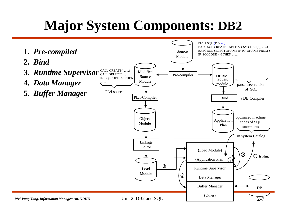## **Major System Components: DB2**

<span id="page-6-0"></span>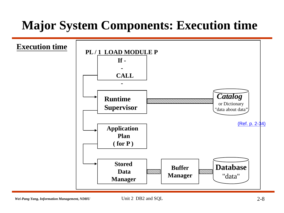### **Major System Components: Execution time**

<span id="page-7-0"></span>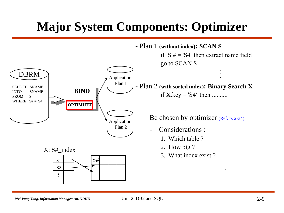### **Major System Components: Optimizer**

<span id="page-8-0"></span>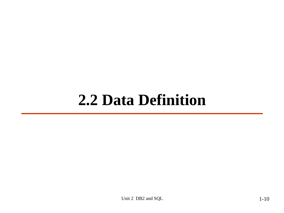## **2.2 Data Definition**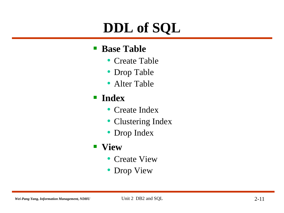## **DDL of SQL**

#### **Base Table**

- Create Table
- Drop Table
- Alter Table

### **Index**

- Create Index
- Clustering Index
- Drop Index
- **View**
	- Create View
	- Drop View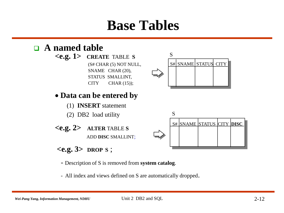## **Base Tables**



- Description of S is removed from **system catalog**.
- All index and views defined on S are automatically dropped.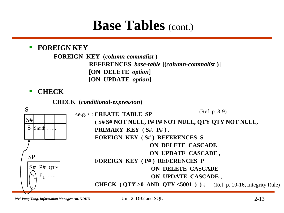## **Base Tables** (cont.)

#### **FOREIGN KEY**

**FOREIGN KEY (***column-commalist* **) REFERENCES** *base-table* **[(***column-commalist* **)] [ON DELETE** *option***] [ON UPDATE** *option***]**

**EXAMPLE CHECK** 

**CHECK (***conditional-expression***)**



*Wei-Pang Yang, Information Management, NDHU* Unit 2 DB2 and SQL 2-13

Unit 2 DB2 and SQL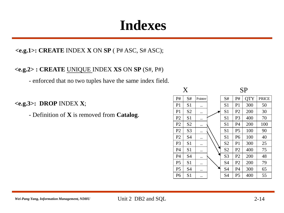## **Indexes**

#### **<e.g.1>: CREATE** INDEX **X** ON **SP** ( P# ASC, S# ASC);

#### **<e.g.2> : CREATE** UNIQUE INDEX **XS** ON **SP** (S#, P#)

- enforced that no two tuples have the same index field.

#### **<e.g.3>: DROP** INDEX **X**;

- Definition of **X** is removed from **Catalog**.

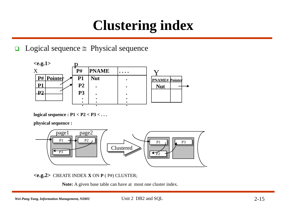## **Clustering index**

#### $\Box$  Logical sequence  $\cong$  Physical sequence



**logical sequence : P1 < P2 < P3 < . . .** 

**physical sequence :**



**<e.g.2>** CREATE INDEX **X** ON **P** ( P#) CLUSTER;

**Note:** A given base table can have at most one cluster index.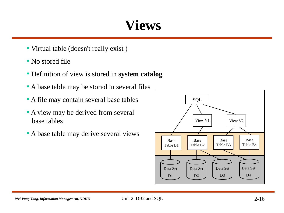## **Views**

- Virtual table (doesn't really exist )
- No stored file
- Definition of view is stored in **system catalog**
- A base table may be stored in several files
- A file may contain several base tables
- A view may be derived from several base tables
- A base table may derive several views

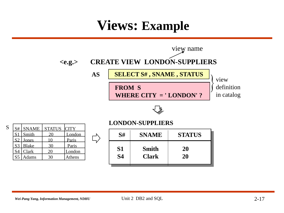### **Views: Example**



S5 Adams 30 Athens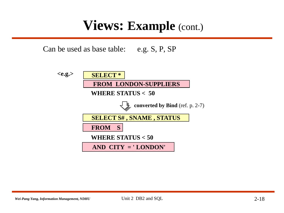### **Views: Example (cont.)**

Can be used as base table: e.g. S, P, SP

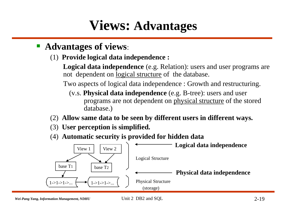## **Views: Advantages**

- **Advantages of views**:
	- (1) **Provide logical data independence :**

**Logical data independence** (e.g. Relation): users and user programs are not dependent on logical structure of the database.

Two aspects of logical data independence : Growth and restructuring.

- (v.s. **Physical data independence** (e.g. B-tree): users and user programs are not dependent on physical structure of the stored database.)
- (2) **Allow same data to be seen by different users in different ways.**
- (3) **User perception is simplified.**
- (4) **Automatic security is provided for hidden data**

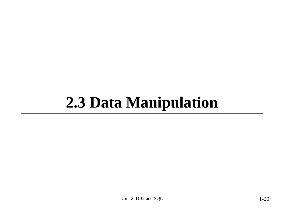## **2.3 Data Manipulation**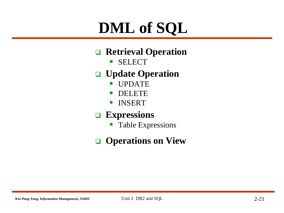# **DML of SQL**

### **Retrieval Operation**

**SELECT** 

### **Update Operation**

- **UPDATE**
- DELETE
- **INSERT**

### **Expressions**

**Table Expressions** 

### **Operations on View**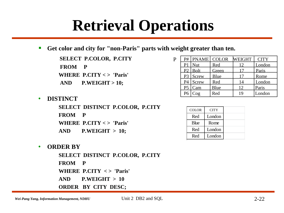# **Retrieval Operations**

**Get color and city for "non-Paris" parts with weight greater than ten.**

**SELECT P.COLOR, P.CITY FROM P WHERE P.CITY < > 'Paris' AND P.WEIGHT > 10;**

|  | <b>DISTINCT</b> |
|--|-----------------|
|--|-----------------|

**SELECT DISTINCT P.COLOR, P.CITY FROM P WHERE P.CITY < > 'Paris'**

**AND P.WEIGHT > 10;**

| P#             | <b>PNAME</b> COLOR      |             | <b>WEIGHT</b> | <b>CITY</b> |
|----------------|-------------------------|-------------|---------------|-------------|
| P1             | <b>Nut</b>              | Red         |               | London      |
| Pγ             | <b>Bolt</b>             | Green       |               | Paris       |
| P <sub>3</sub> | Screw                   | <b>Blue</b> |               | Rome        |
| P4             | Screw                   | Red         | 14            | London      |
| P <sub>5</sub> | Cam                     | Blue        | 12            | Paris       |
|                | $\overline{\text{Cog}}$ | Red         | 19            | London      |
|                |                         |             |               |             |

| <b>COLOR</b> | <b>CITY</b> |  |
|--------------|-------------|--|
| Red          | London      |  |
| Blue         | Rome        |  |
| Red          | London      |  |
| Red          | London      |  |

#### • **ORDER BY**

**SELECT DISTINCT P.COLOR, P.CITY FROM P WHERE P.CITY < > 'Paris' AND P.WEIGHT > 10 ORDER BY CITY DESC;**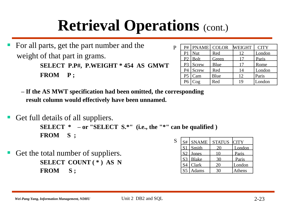# **Retrieval Operations** (cont.)

P

 For all parts, get the part number and the weight of that part in grams. **SELECT P.P#, P.WEIGHT \* 454 AS GMWT FROM P ;**

|                | P#   PNAME   COLOR |       | <b>WEIGHT</b> | <b>CITY</b> |
|----------------|--------------------|-------|---------------|-------------|
| P <sub>1</sub> | Nut                | Red   | 12            | London      |
|                | $P2$ Bolt          | Green |               | Paris       |
| P <sub>3</sub> | <b>Screw</b>       | Blue  | 17            | Rome        |
| P <sub>4</sub> | <b>Screw</b>       | Red   | 14            | London      |
| P <sub>5</sub> | Cam                | Blue  | 12            | Paris       |
| P <sub>6</sub> | $\cos$             | Red   | 19            | London      |

- **– If the AS MWT specification had been omitted, the corresponding result column would effectively have been unnamed.**
- Get full details of all suppliers. **SELECT \* – or "SELECT S.\*" (i.e., the "\*" can be qualified ) FROM S ;** S
- Get the total number of suppliers. **SELECT COUNT ( \* ) AS N FROM S ;**

| S#             | <b>SNAME</b> | STATUS CITY |        |
|----------------|--------------|-------------|--------|
|                | $SI$ Smith   |             | London |
| S <sub>2</sub> | <b>Jones</b> |             | Paris  |
| S <sub>3</sub> | Blake        |             | Paris  |
|                | Clark        | 20          | London |
|                | <b>Adams</b> |             | Athens |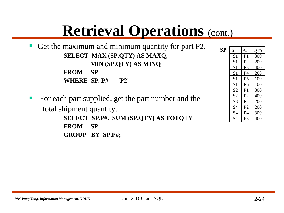# **Retrieval Operations** (cont.)

 Get the maximum and minimum quantity for part P2. **SELECT MAX (SP.QTY) AS MAXQ, MIN (SP.QTY) AS MINQ FROM SP WHERE SP. P# = 'P2';**

For each part supplied, get the part number and the total shipment quantity. **SELECT SP.P#, SUM (SP.QTY) AS TOTQTY FROM SP GROUP BY SP.P#;**

| SP | S#             | P#             | <b>QTY</b> |
|----|----------------|----------------|------------|
|    | S <sub>1</sub> | P <sub>1</sub> | 300        |
|    | S <sub>1</sub> | P <sub>2</sub> | 200        |
|    | S <sub>1</sub> | P <sub>3</sub> | 400        |
|    | S <sub>1</sub> | P <sub>4</sub> | 200        |
|    | S <sub>1</sub> | P <sub>5</sub> | 100        |
|    | S <sub>1</sub> | P <sub>6</sub> | 100        |
|    | S <sub>2</sub> | P <sub>1</sub> | 300        |
|    | S <sub>2</sub> | P <sub>2</sub> | 400        |
|    | S <sub>3</sub> | P <sub>2</sub> | 200        |
|    | S <sub>4</sub> | P <sub>2</sub> | 200        |
|    | S <sub>4</sub> | P4             | 300        |
|    | <b>S4</b>      | P <sub>5</sub> | 400        |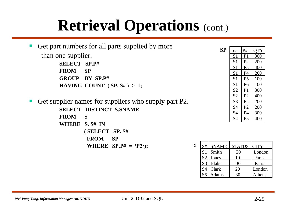# **Retrieval Operations** (cont.)

|                     | Get part numbers for all parts supplied by more      |
|---------------------|------------------------------------------------------|
| than one supplier.  |                                                      |
| <b>SELECT SP.P#</b> |                                                      |
| FROM SP             |                                                      |
|                     | <b>GROUP BY SP.P#</b>                                |
|                     | HAVING COUNT $(SP, S#) > 1$ ;                        |
|                     | Get supplier names for suppliers who supply part P2. |
|                     | <b>SELECT DISTINCT S.SNAME</b>                       |
| <b>FROM S</b>       |                                                      |
| WHERE S.S# IN       |                                                      |
|                     | (SELECT SP. S#                                       |
|                     | <b>SP</b><br><b>FROM</b>                             |

**WHERE SP.P# = 'P2');**

| SP | S#             | P#             | <b>QTY</b> |
|----|----------------|----------------|------------|
|    | S <sub>1</sub> | P <sub>1</sub> | 300        |
|    | S <sub>1</sub> | P <sub>2</sub> | 200        |
|    | S <sub>1</sub> | P <sub>3</sub> | 400        |
|    | S <sub>1</sub> | P4             | 200        |
|    | S <sub>1</sub> | P <sub>5</sub> | 100        |
|    | S <sub>1</sub> | P <sub>6</sub> | 100        |
|    | S <sub>2</sub> | P <sub>1</sub> | 300        |
|    | S <sub>2</sub> | P <sub>2</sub> | 400        |
|    | S <sub>3</sub> | P <sub>2</sub> | 200        |
|    | S <sub>4</sub> | P <sub>2</sub> | 200        |
|    | S <sub>4</sub> | P <sub>4</sub> | 300        |
|    | <b>S4</b>      | P <sub>5</sub> | 400        |

| S | S#             | <b>SNAME</b> | <b>STATUS</b> | <b>CITY</b> |
|---|----------------|--------------|---------------|-------------|
|   | S1             | Smith        |               | London      |
|   |                | Jones        |               | Paris       |
|   | S <sub>3</sub> | <b>Blake</b> |               | Paris       |
|   | S4             | Clark        | 20            | London      |
|   | $SS^5$         | Adams        |               | Athens      |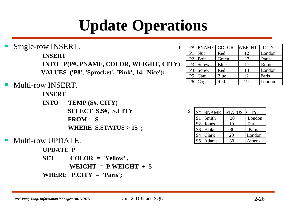# **Update Operations**

Single-row INSERT.

**INSERT**

**INTO P(P#, PNAME, COLOR, WEIGHT, CITY) VALUES ('P8', 'Sprocket', 'Pink', 14, 'Nice');**

#### Multi-row INSERT.

**INSERT**

- **INTO TEMP (S#, CITY) SELECT S.S#, S.CITY FROM S WHERE S.STATUS > 15 ;**
- Multi-row UPDATE.

**UPDATE P**

**SET COLOR = 'Yellow' ,**   $WEIGHT = PMEIGHT + 5$ **WHERE P.CITY = 'Paris';**

| P |                | $P#$ PNAME COLOR    |       | <b>WEIGHT</b> | <b>CITY</b> |
|---|----------------|---------------------|-------|---------------|-------------|
|   | P1             | Nut                 | Red   | 12            | London      |
|   |                | P <sub>2</sub> Bolt | Green |               | Paris       |
|   |                | $P3$ Screw          | Blue  | 17            | Rome        |
|   | P4             | Screw               | Red   | 14            | London      |
|   | P <sub>5</sub> | Cam                 | Blue  | 12            | Paris       |
|   | P <sub>6</sub> | $\cos$              | Red   | 19            | London      |
|   |                |                     |       |               |             |

| S | S#             | <b>SNAME</b> | STATUS CITY |        |
|---|----------------|--------------|-------------|--------|
|   | S <sub>1</sub> | Smith        |             | London |
|   | S <sub>2</sub> | Jones        |             | Paris  |
|   | S <sub>3</sub> | <b>Blake</b> |             | Paris  |
|   |                | Clark        | 20          | London |
|   |                | <b>Adams</b> |             | Athens |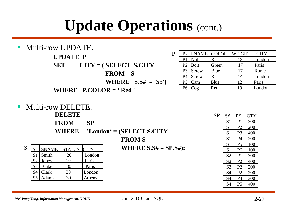# **Update Operations** (cont.)



|                | $P#$ PNAME COLOR |       | <b>WEIGHT</b> | <b>CITY</b> |
|----------------|------------------|-------|---------------|-------------|
| P1             | $\vert$ Nut      | Red   | 12            | London      |
|                | $P2$ Bolt        | Green |               | Paris       |
|                | $P3$ Screw       | Blue  | 17            | Rome        |
|                | $P4$ Screw       | Red   | 14            | London      |
| P <sub>5</sub> | Cam              | Blue  | 12            | Paris       |
| P <sub>6</sub> | $\cos$           | Red   | 19            | London      |

**Multi-row DELETE.** 

**DELETE**

| <b>FROM</b> | <b>SP</b> |
|-------------|-----------|
|-------------|-----------|

**WHERE 'London' = (SELECT S.CITY**

**FROM S**

**WHERE S.S# = SP.S#);**

| S | S#                     | <b>SNAME</b> | STATUS CITY |        |
|---|------------------------|--------------|-------------|--------|
|   | S <sub>1</sub>         | Smith        |             | London |
|   | $\cdot$ S <sub>2</sub> | Jones        |             | Paris  |
|   | S <sub>3</sub>         | <b>Blake</b> |             | Paris  |
|   | S4                     | Clark        |             | London |
|   | $S^5$                  | Adams        |             | Athens |

| <b>SP</b> | S#             | P#             | <b>QTY</b> |
|-----------|----------------|----------------|------------|
|           | S <sub>1</sub> | P <sub>1</sub> | 300        |
|           | S <sub>1</sub> | P <sub>2</sub> | 200        |
|           | S <sub>1</sub> | P <sub>3</sub> | 400        |
|           | S <sub>1</sub> | P <sub>4</sub> | 200        |
|           | S <sub>1</sub> | P <sub>5</sub> | 100        |
|           | S <sub>1</sub> | P <sub>6</sub> | 100        |
|           | <u>S2</u>      | P <sub>1</sub> | 300        |
|           | S <sub>2</sub> | P <sub>2</sub> | 400        |
|           | S <sub>3</sub> | P <sub>2</sub> | 200        |
|           | S <sub>4</sub> | P <sub>2</sub> | 200        |
|           | S <sub>4</sub> | <b>P4</b>      | 300        |
|           | S <sub>4</sub> | P <sub>5</sub> | 400        |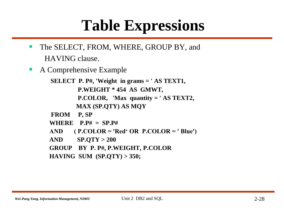# **Table Expressions**

- The SELECT, FROM, WHERE, GROUP BY, and HAVING clause.
- **A Comprehensive Example**

**SELECT P. P#, 'Weight in grams = ' AS TEXT1, P.WEIGHT \* 454 AS GMWT, P.COLOR, 'Max quantity = ' AS TEXT2, MAX (SP.QTY) AS MQY**

- **FROM P, SP**
- **WHERE P.P# = SP.P#**
- **AND ( P.COLOR = 'Red' OR P.COLOR = ' Blue')**
- **AND SP.QTY > 200**
- **GROUP BY P. P#, P.WEIGHT, P.COLOR**
- **HAVING SUM (SP.QTY) > 350;**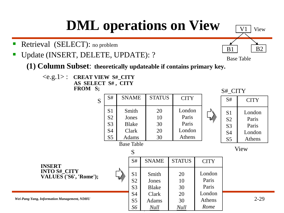## **DML operations on View**

- Retrieval (SELECT): no problem
- Update (INSERT, DELETE, UPDATE): ?

Base Table

B1

 $V1$  View

B2

**(1) Column Subset**: **theoretically updateable if contains primary key.**

<e.g.1> : **CREAT VIEW S#\_CITY AS SELECT S# , CITY FROM S;**

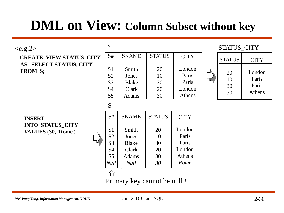## **DML on View: Column Subset without key**

#### $\langle e.g. 2 \rangle$

**CREATE VIEW STATUS\_CITY AS SELECT STATUS, CITY FROM S;**

| S#             | <b>SNAME</b> | <b>STATUS</b> | <b>CITY</b> |
|----------------|--------------|---------------|-------------|
|                |              |               |             |
| S <sub>1</sub> | Smith        | 20            | London      |
| S <sub>2</sub> | Jones        | 10            | Paris       |
| S <sub>3</sub> | <b>Blake</b> | 30            | Paris       |
| S <sub>4</sub> | Clark        | 20            | London      |
| S <sub>5</sub> | Adams        | 30            | Athens      |

#### STATUS\_CITY

| <b>STATUS</b>        | CITY                               |
|----------------------|------------------------------------|
| 20<br>10<br>30<br>30 | London<br>Paris<br>Paris<br>Athens |

S

 $\mathbf{C}$ 

**INSERT INTO STATUS\_CITY VALUES (30, 'Rome**')

| S#                                                                                        | <b>SNAME</b>                                                    | <b>STATUS</b>                    | <b>CITY</b>                                          |
|-------------------------------------------------------------------------------------------|-----------------------------------------------------------------|----------------------------------|------------------------------------------------------|
| S <sub>1</sub><br>S <sub>2</sub><br>S <sub>3</sub><br><b>S4</b><br>S <sub>5</sub><br>Null | Smith<br>Jones<br><b>Blake</b><br>Clark<br>Adams<br><b>Null</b> | 20<br>10<br>30<br>20<br>30<br>30 | London<br>Paris<br>Paris<br>London<br>Athens<br>Rome |
|                                                                                           |                                                                 |                                  |                                                      |

Primary key cannot be null !!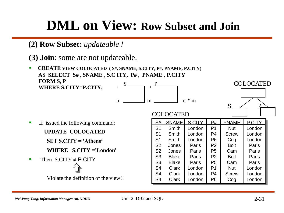### **DML on View: Row Subset and Join**

- **(2) Row Subset:** *updateable !*
- **(3) Join**: some are not updateable.
- **CREATE VIEW COLOCATED ( S#, SNAME, S.CITY, P#, PNAME, P.CITY) AS SELECT S# , SNAME , S.C ITY, P# , PNAME , P.CITY FORM S, P WHERE S.CITY=P.CITY;**   $S \qquad P$  $1 \quad \overbrace{ }$  1

COLOCATED

 $n \mid m \mid n \ast m$ 



- **If issued the following command:** 
	- **UPDATE COLOCATED**
	- **SET S.CITY = 'Athens'**
	- **WHERE S.CITY ='London**'
- Then  $S.CITY \neq P.CITY$

Violate the definition of the view!!

| S#             | <b>SNAME</b> | S.CITY | P#             | <b>PNAME</b> | <b>PCITY</b> |
|----------------|--------------|--------|----------------|--------------|--------------|
| S <sub>1</sub> | Smith        | London | P1             | <b>Nut</b>   | London       |
| S <sub>1</sub> | Smith        | London | P <sub>4</sub> | <b>Screw</b> | London       |
| S <sub>1</sub> | Smith        | London | P <sub>6</sub> | Cog          | London       |
| S <sub>2</sub> | Jones        | Paris  | P <sub>2</sub> | <b>Bolt</b>  | Paris        |
| S <sub>2</sub> | Jones        | Paris  | P <sub>5</sub> | Cam          | Paris        |
| S <sub>3</sub> | <b>Blake</b> | Paris  | P <sub>2</sub> | <b>Bolt</b>  | Paris        |
| S <sub>3</sub> | <b>Blake</b> | Paris  | P <sub>5</sub> | Cam          | Paris        |
| S <sub>4</sub> | <b>Clark</b> | London | P <sub>1</sub> | <b>Nut</b>   | London       |
| S <sub>4</sub> | <b>Clark</b> | London | P <sub>4</sub> | <b>Screw</b> | London       |
| S <sub>4</sub> | Clark        | London | P <sub>6</sub> | Cog          | London       |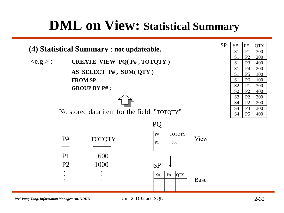## **DML on View: Statistical Summary**

| (4) Statistical Summary : not updateable.              |                     |                         |                                            |             | <b>SP</b> | S#<br>S <sub>1</sub>             | P#<br>P <sub>1</sub>             |
|--------------------------------------------------------|---------------------|-------------------------|--------------------------------------------|-------------|-----------|----------------------------------|----------------------------------|
| CREATE VIEW PQ(P#, TOTQTY)<br>$\langle e.g. \rangle$ : |                     |                         |                                            |             |           | S <sub>1</sub><br>S <sub>1</sub> | P2<br>P <sub>3</sub>             |
|                                                        |                     | AS SELECT P#, SUM( QTY) |                                            |             |           | S <sub>1</sub><br>S <sub>1</sub> | P <sub>4</sub><br>P <sub>5</sub> |
|                                                        | <b>FROM SP</b>      |                         |                                            |             |           | S <sub>1</sub><br>S <sub>2</sub> | P <sub>6</sub><br>P1             |
|                                                        | <b>GROUP BY P#;</b> |                         |                                            |             |           | S <sub>2</sub><br>S <sub>3</sub> | P2<br>P2                         |
|                                                        |                     |                         |                                            |             |           | S <sub>4</sub><br>S <sub>4</sub> | P <sub>2</sub><br>P <sub>4</sub> |
|                                                        |                     |                         | No stored data item for the field "TOTOTY" |             |           | <b>S4</b>                        | P <sub>5</sub>                   |
|                                                        |                     |                         | PO                                         |             |           |                                  |                                  |
|                                                        | P#                  | <b>TOTQTY</b>           | TOTQTY<br>P#<br>P <sub>1</sub><br>600      | View        |           |                                  |                                  |
|                                                        | P <sub>1</sub>      | 600                     |                                            |             |           |                                  |                                  |
|                                                        | P <sub>2</sub>      | 1000                    | <b>SP</b>                                  |             |           |                                  |                                  |
|                                                        |                     |                         | QTY <br>S#<br>P#                           | <b>Base</b> |           |                                  |                                  |

*Wei-Pang Yang, Information Management, NDHU* Unit 2 DB2 and SQL 2-32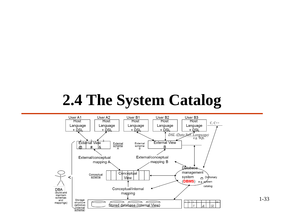## **2.4 The System Catalog**

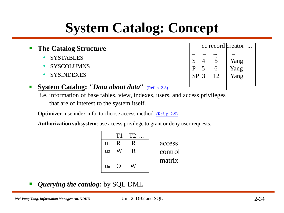## **System Catalog: Concept**

- **The Catalog Structure**
	- **SYSTABLES**
	- SYSCOLUMNS
	- SYSINDEXES
- **System Catalog:** *''Data about data*" [\(Ref. p. 2-8\)](#page-7-0)

i.e. information of base tables, view, indexes, users, and access privileges that are of interest to the system itself.

- **Optimizer:** use index info. to choose access method. [\(Ref. p. 2-9\)](#page-8-0)
- Authorization subsystem: use access privilege to grant or deny user requests.

|                | T1 | T2 |         |
|----------------|----|----|---------|
| $u1$           | R  | R  | access  |
| $\mathbf{u}$   |    | R  | control |
| $\mathbf{u}$ n |    |    | matrix  |

*Querying the catalog:* by SQL DML

<span id="page-33-0"></span>

| Wei-Pang Yang, Information Management, NDHU | Unit 2 DB2 and SQL | $-34$ |
|---------------------------------------------|--------------------|-------|
|---------------------------------------------|--------------------|-------|

|                           |              |                | cc record creator |  |
|---------------------------|--------------|----------------|-------------------|--|
|                           |              |                |                   |  |
| $\overline{\overline{S}}$ |              | $\overline{5}$ | Yang              |  |
| P                         | 5            | 6              | Yang              |  |
| <b>SP</b>                 | $\mathbf{c}$ | 12             | Yang              |  |
|                           |              |                |                   |  |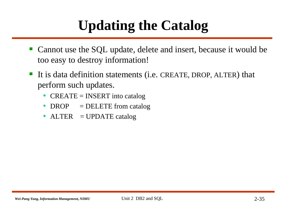## **Updating the Catalog**

- Cannot use the SQL update, delete and insert, because it would be too easy to destroy information!
- It is data definition statements (i.e. CREATE, DROP, ALTER) that perform such updates.
	- CREATE = INSERT into catalog
	- DROP = DELETE from catalog
	- ALTER = UPDATE catalog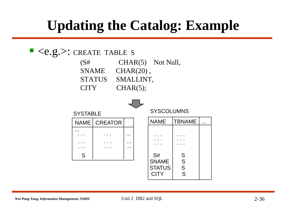## **Updating the Catalog: Example**

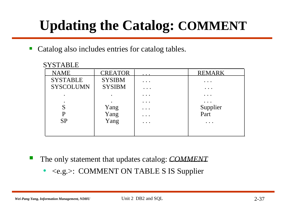## **Updating the Catalog: COMMENT**

Catalog also includes entries for catalog tables.

| <b>STAB</b><br>L |
|------------------|
|------------------|

| <b>NAME</b>      | <b>CREATOR</b> | $\cdots$               | <b>REMARK</b>          |
|------------------|----------------|------------------------|------------------------|
| <b>SYSTABLE</b>  | <b>SYSIBM</b>  | $\ddot{\phantom{a}}$ . | $\ddot{\phantom{a}}$ . |
| <b>SYSCOLUMN</b> | <b>SYSIBM</b>  | $\cdots$               | $\ddot{\phantom{a}}$ . |
|                  |                | $\cdots$               | $\ddot{\phantom{a}}$ . |
|                  |                | $\ddot{\phantom{a}}$ . | $\ddot{\phantom{a}}$   |
| S                | Yang           | $\ddot{\phantom{a}}$ . | Supplier<br>Part       |
| $\mathbf P$      | Yang           | $\ddot{\phantom{0}}$ . |                        |
| <b>SP</b>        | Yang           | $\cdots$               | $\cdots$               |
|                  |                |                        |                        |
|                  |                |                        |                        |

The only statement that updates catalog: *COMMENT*

• <e.g.>: COMMENT ON TABLE S IS Supplier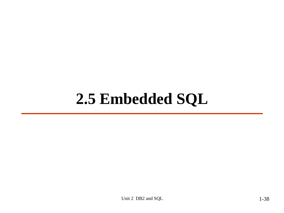# **2.5 Embedded SQL**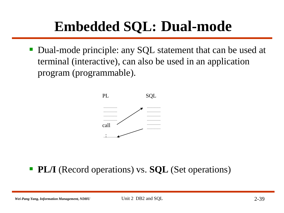## **Embedded SQL: Dual-mode**

■ Dual-mode principle: any SQL statement that can be used at terminal (interactive), can also be used in an application program (programmable).



### **PL/I** (Record operations) vs. **SQL** (Set operations)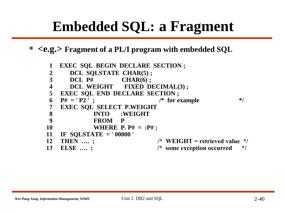## **Embedded SQL: a Fragment**

#### **<e.g.> Fragment of a PL/I program with embedded SQL**

```
1 EXEC SQL BEGIN DECLARE SECTION ;
2 DCL SQLSTATE CHAR(5) ;
3 DCL P# CHAR(6) ;
4 DCL WEIGHT FIXED DECIMAL(3) ;
5 EXEC SQL END DECLARE SECTION ;
6 P# = 'P2'; /* for example */
7 EXEC SQL SELECT P.WEIGHT
8 INTO :WEIGHT
9 FROM P
10 WHERE P. P# = :P# ;
11 IF SQLSTATE = ' 00000 ' 
12 THEN …. ; /* WEIGHT = retrieved value */
13 ELSE …. ; /* some exception occurred */
```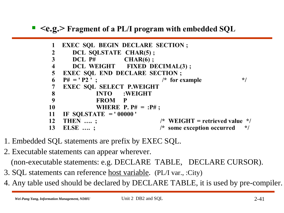$\blacksquare$  <e.g.> Fragment of a PL/I program with embedded SQL

```
EXEC SQL BEGIN DECLARE SECTION ;
 1
       DCL SQLSTATE CHAR(5);
 2
 3
                       CHAR(6);DCL P#\overline{\mathbf{4}}DCL WEIGHT FIXED DECIMAL(3);
5
    EXEC SQL END DECLARE SECTION ;
                                   /* for example
6
    P# = 'P2':
                                                            \star/
7
    EXEC SQL SELECT P.WEIGHT
8
              INTO : WEIGHT
\boldsymbol{9}FROM
                       P
10
              WHERE P. P# = P#;
11
    IF SOLSTATE = '00000'
12
    THEN .... :
                                   /* WEIGHT = retrieved value */13
    ELSE .... :
                                   /* some exception occurred
                                                             \star/
```
- 1. Embedded SQL statements are prefix by EXEC SQL.
- 2. Executable statements can appear wherever. (non-executable statements: e.g. DECLARE TABLE, DECLARE CURSOR).
- 3. SQL statements can reference host variable. (PL/I var., :City)
- 4. Any table used should be declared by DECLARE TABLE, it is used by pre-compiler.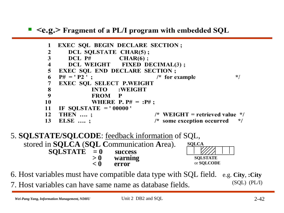$\leq$ e.g. Fragment of a PL/I program with embedded SQL

```
EXEC SOL BEGIN DECLARE SECTION:
1
 \mathbf{2}DCL SOLSTATE CHAR(5):
 3
       DCL P#CHAR(6):
       DCL WEIGHT
                       FIXED DECIMAL(3):
 4
5
   EXEC SQL END DECLARE SECTION ;
    P# = 'P2' :
                                  /* for example
                                                          \star/6
 7
    EXEC SOL SELECT P.WEIGHT
8
                      :WEIGHT
              INTO
9
              FROM
                      P
10
              WHERE P. P# = P#;
11
    IF SOLSTATE = '00000'
12
    THEN .... ;
                                 /* WEIGHT = retrieved value */13
    ELSE .... ;
                                 /* some exception occurred
                                                           */
```
5. **SQLSTATE/SQLCODE**: feedback information of SQL, stored in **SQLCA** (**SQL C**ommunication **A**rea).  $\text{SQLSTATE}$  = 0 success<br>> 0 warning **> 0 warning < 0 error SQLCA SQLSTATE** or **SQLCODE**

6. Host variables must have compatible data type with SQL field. e.g. **City**, **:City** 7. Host variables can have same name as database fields. (SQL) (PL/I)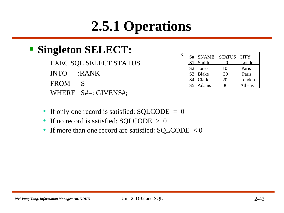## **2.5.1 Operations**

### **Singleton SELECT:**

EXEC SQL SELECT STATUS INTO :RANK FROM S WHERE S#=: GIVENS#;

| S | S#             | <b>SNAME</b> | <b>STATUS</b> | <b>CITY</b> |
|---|----------------|--------------|---------------|-------------|
|   | S1             | Smith        |               | London      |
|   | S <sub>2</sub> | Jones        |               | Paris       |
|   |                | S3 Blake     | 30            | Paris       |
|   | S4             | Clark        |               | London      |
|   | S <sub>5</sub> | Adams        | 30            | Athens      |

- If only one record is satisfied: SQLCODE = 0
- If no record is satisfied: SQLCODE > 0
- If more than one record are satisfied:  $\text{SQLCODE} < 0$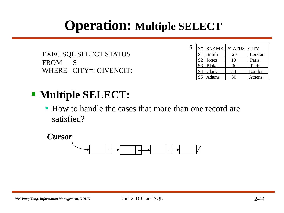## **Operation: Multiple SELECT**

```
EXEC SQL SELECT STATUS
FROM S
WHERE CITY=: GIVENCIT;
```

| S | S#             | <b>SNAME</b> | STATUS CITY |        |
|---|----------------|--------------|-------------|--------|
|   | S <sub>1</sub> | Smith        |             | London |
|   | S <sub>2</sub> | Jones        |             | Paris  |
|   |                | S3 Blake     |             | Paris  |
|   |                | Clark        |             | London |
|   |                | Adams        |             | Athens |

- **Multiple SELECT:** 
	- How to handle the cases that more than one record are satisfied?

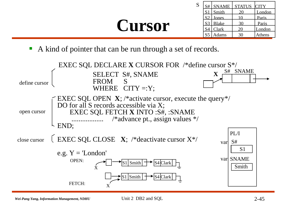# **Cursor**

| S | S#             | <b>SNAME</b> | <b>STATUS</b> | <b>CITY</b> |
|---|----------------|--------------|---------------|-------------|
|   | S <sub>1</sub> | Smith        |               | London      |
|   | S <sub>2</sub> | Jones        |               | Paris       |
|   | S <sub>3</sub> | Blake        |               | Paris       |
|   | S <sub>4</sub> | Clark        | 20            | London      |
|   | S <sub>5</sub> | Adams        |               | Athens      |

A kind of pointer that can be run through a set of records.

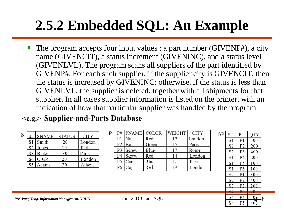## **2.5.2 Embedded SQL: An Example**

 The program accepts four input values : a part number (GIVENP#), a city name (GIVENCIT), a status increment (GIVENINC), and a status level (GIVENLVL). The program scans all suppliers of the part identified by GIVENP#. For each such supplier, if the supplier city is GIVENCIT, then the status is increased by GIVENINC; otherwise, if the status is less than GIVENLVL, the supplier is deleted, together with all shipments for that supplier. In all cases supplier information is listed on the printer, with an indication of how that particular supplier was handled by the program.

#### $\langle e.g. \rangle$  Supplier-and-Parts Database

<span id="page-45-0"></span>

| S | S#                     | <b>SNAME</b> | <b>STATUS</b> | <b>CITY</b> |
|---|------------------------|--------------|---------------|-------------|
|   | $\cdot$ S <sup>1</sup> | Smith        |               | London      |
|   |                        | Jones        | $\left($      | Paris       |
|   | S <sub>3</sub>         | Blake        | 30            | Paris       |
|   |                        | Clark        | 20            | London      |
|   | S <sub>5</sub>         | Adams        | 30            | Athens      |

| P | <b>PNAME</b> COLOR<br>P# |       |       | WEIGHT | <b>CITY</b> |
|---|--------------------------|-------|-------|--------|-------------|
|   | P1                       | Nut   | Red   | 12     | London      |
|   | P <sub>2</sub>           | Bolt  | Green |        | Paris       |
|   | P3                       | Screw | Blue  | 17     | Rome        |
|   | P4                       | Screw | Red   | 14     | London      |
|   | P <sub>5</sub>           | Cam   | Blue  | 12     | Paris       |
|   | P6                       | Cog   | Red   | 19     | London      |

| <b>SP</b> | S#             | P#             | QTY             |   |
|-----------|----------------|----------------|-----------------|---|
|           | S1             | P <sub>1</sub> | 300             |   |
|           | S1             | P <sub>2</sub> | 200             |   |
|           | S1             | P <sub>3</sub> | 400             |   |
|           | S1             | P <sub>4</sub> | 200             |   |
|           | S1             | P <sub>5</sub> | 100             |   |
|           | S1             | P <sub>6</sub> | 100             |   |
|           | S2             | P <sub>1</sub> | 300             |   |
|           | S2             | P <sub>2</sub> | 400             |   |
|           | S <sub>3</sub> | P2             | 200             |   |
|           | Ŝ4             | P2             | 200             |   |
|           |                |                |                 |   |
|           | S4             | P <sub>4</sub> | 30 <sub>0</sub> | f |
|           | S4             | P <sub>5</sub> | 400             |   |
|           |                |                |                 |   |

Unit 2 DB2 and SQL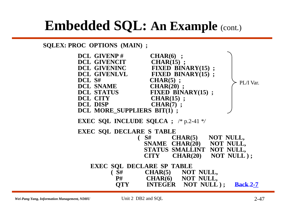**SQLEX: PROC OPTIONS (MAIN) ;**



<span id="page-46-0"></span>*Wei-Pang Yang, Information Management, NDHU* Unit 2 DB2 and SQL 2-47

Unit 2 DB2 and SQL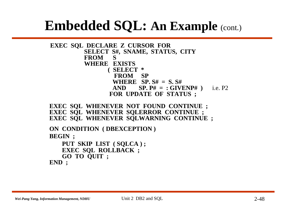```
EXEC SQL DECLARE Z CURSOR FOR
         SELECT S#, SNAME, STATUS, CITY
        FROM S
         WHERE EXISTS 
               ( SELECT *
                FROM SP
                WHERE SP. S# = S. S#
                AND SP. P# = : GIVENP# ) i.e. P2
               FOR UPDATE OF STATUS ;
EXEC SQL WHENEVER NOT FOUND CONTINUE ;
EXEC SQL WHENEVER SQLERROR CONTINUE ;
```
**EXEC SQL WHENEVER SQLWARNING CONTINUE ;**

```
ON CONDITION ( DBEXCEPTION )
BEGIN ;
   PUT SKIP LIST ( SQLCA ) ;
   EXEC SQL ROLLBACK ;
   GO TO QUIT ;
```
**END ;**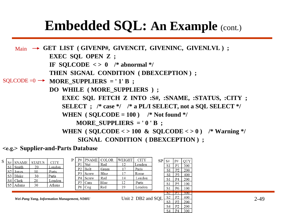Main → GET LIST (GIVENP#, GIVENCIT, GIVENINC, GIVENLVL); **EXEC SQL OPEN Z ; IF SQLCODE**  $\langle \rangle$  **0 /\* abnormal \*/ THEN SIGNAL CONDITION ( DBEXCEPTION ) ;**  $\text{SQLCODE} = 0 \rightarrow \text{MORE\_SUPPLIERS} = '1' \text{B}$ ; **DO WHILE ( MORE\_SUPPLIERS ) ; EXEC SQL FETCH Z INTO :S#, :SNAME, :STATUS, :CITY ; SELECT ; /\* case \*/ /\* a PL/I SELECT, not a SQL SELECT \*/ WHEN** ( $\text{SQLCODE} = 100$ ) /\* Not found \*/ MORE SUPPLIERS = '0'B; WHEN (  $\text{SOLCODE} \leq 100 \& \text{SOLCODE} \leq 0$  ) /\* Warning \*/ **SIGNAL CONDITION ( DBEXCEPTION ) ;**

#### $\langle e.g. \rangle$  Supplier-and-Parts Database

| S | S#<br>' SNAME<br>S <sub>1</sub><br>Smith<br>S <sub>2</sub><br>Jones<br>$S3$   Blake<br>Clark<br>S4 I<br>SS'<br>Adams | STATUS<br>20<br>10<br>30<br>20<br>30 | <b>CITY</b><br>London -<br>Paris<br>Paris<br>∟ondon<br>Athens | P#<br>P <sub>1</sub><br>P <sub>2</sub><br>P <sub>3</sub><br>P4<br>P <sub>5</sub><br>P6 | <b>PNAME</b> COLOR<br>1 Nut<br>l Bolt<br>l Screw<br>l Screw<br>Cam<br>$\log$ | Red<br>Green<br>Blue<br>Red<br>Blue<br>Red | WEIGHT<br>14<br>19 | CITY<br>London<br>Paris<br>Rome<br>London<br>Paris<br>London | SP <sup>1</sup> | S#<br>S1<br>S1<br>-S 1<br>S1<br>S1<br>S <sub>1</sub> | P#<br>P <sub>1</sub><br>P <sub>2</sub><br>P <sub>3</sub><br>P4<br>P <sub>5</sub><br>P <sub>6</sub> | <b>QTY</b><br>300<br>200<br>400<br>200<br>100<br>100 |          |
|---|----------------------------------------------------------------------------------------------------------------------|--------------------------------------|---------------------------------------------------------------|----------------------------------------------------------------------------------------|------------------------------------------------------------------------------|--------------------------------------------|--------------------|--------------------------------------------------------------|-----------------|------------------------------------------------------|----------------------------------------------------------------------------------------------------|------------------------------------------------------|----------|
|   |                                                                                                                      |                                      | Wei-Pang Yang, Information Management, NDHU                   |                                                                                        |                                                                              |                                            |                    | Unit 2 DB2 and $SQL \}$                                      |                 | 52<br>S <sub>2</sub><br>S <sub>3</sub><br>S4<br>S4   | דו<br>P <sub>2</sub><br>$\mathbf{p}$<br>P <sub>2</sub><br>P <sub>4</sub>                           | 300<br>400<br>200<br>200<br>300                      | $2 - 49$ |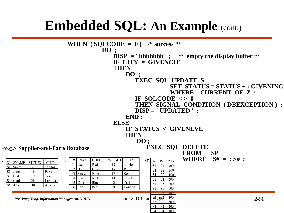```
WHEN ( \text{SQLCODE} = 0 ) /* success */
                                             DO ;
                                                  DISP = \mathbf{b} bbbbbbb \mathbf{b} ; /* empty the display buffer */
                                                  IF CITY = GIVENCIT
                                                  THEN 
                                                       DO ;
                                                            EXEC SQL UPDATE S
                                                                            SET STATUS = STATUS + : GIVENINC; 
                                                                            WHERE CURRENT OF Z ;
                                                            IF SQLCODE < > 0
                                                            THEN SIGNAL CONDITION ( DBEXCEPTION ) ;
                                                            DISP = ' UPDATED ' ;
                                                       END ;
                                                  ELSE
                                                       IF STATUS < GIVENLVL
                                                       THEN
                                                             DO ;
                                                                 EXEC SQL DELETE
<e.g.> Supplier-and-Parts Database
                                                                                 FROM SP 
                                                                                  WHERE S# = : S# ;
                            P
                               P# PNAME COLOR
                                                WEIGHT
                                                        CITY
                                                                SP S#|p#QTY
  S# SNAME STATUS
                    CITY
                               P1 Nut
                                        Red
                                                 12London
                                                                    S1
                                                                       \overline{P1}\overline{300}S1 Smith
             20
                   London
                               P2 Bolt
                                        Green
                                                 17Paris
                                                                    S1P<sub>2</sub>200
  S<sub>2</sub> Jones
             10Paris
                               P<sub>3</sub>Screw
                                        Blue
                                                 17Rome
                                                                       P<sub>3</sub>S1
                                                                           400
             30
  S3 Blake
                   Paris
                               P<sub>4</sub>Red
                                                 14
                                                       London
                                  Screw
                                                                    S1
                                                                       P<sub>4</sub>200
  S4 Clark
             20
                   London
                                                 12
                               P<sub>5</sub> | Cam
                                        Blue
                                                       Paris
                                                                    S<sub>1</sub>P<sub>5</sub>
                                                                           100
  S5 Adams
             30
                   Athens
                               P6 CogRed
                                                 19
                                                       London
                                                                       P<sub>6</sub>
                                                                    S1
                                                                           100
                                                                    S2 P1 300
      Wei-Pang Yang, Information Management, NDHU Unit 2 DB2 and \frac{SSQP2}{SSQP1} (2000)
                                                                       P<sub>2</sub>S<sub>4</sub>
                                                                           200
                                                                    S4
                                                                       P4
                                                                           300
```
S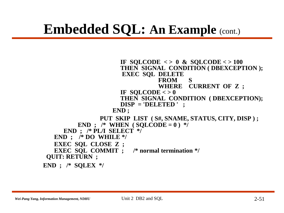IF SOLCODE  $\langle > 0 \&$  SOLCODE  $\langle > 100 \rangle$ **THEN SIGNAL CONDITION ( DBEXCEPTION ); EXEC SQL DELETE FROM S WHERE CURRENT OF Z ;** IF SOLCODE  $\lt$  > 0 **THEN SIGNAL CONDITION ( DBEXCEPTION); DISP = 'DELETED ' ; END ;** PUT SKIP LIST ( S#, SNAME, STATUS, CITY, DISP ) ; **END** ; /\* **WHEN** (  $SQLCODE = 0$  ) \*/ **END ; /\* PL/I SELECT \*/ END ; /\* DO WHILE \*/ EXEC SQL CLOSE Z ; EXEC SQL COMMIT ; /\* normal termination \*/ QUIT: RETURN ; END ; /\* SQLEX \*/**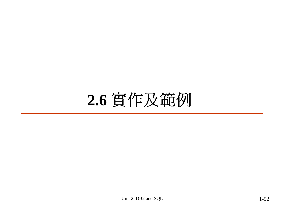# 2.6 實作及範例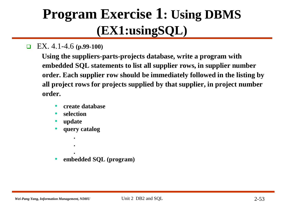## **Program Exercise 1: Using DBMS (EX1:usingSQL)**

EX. 4.1-4.6 **(p.99-100)**

**Using the suppliers-parts-projects database, write a program with embedded SQL statements to list all supplier rows, in supplier number order. Each supplier row should be immediately followed in the listing by all project rows for projects supplied by that supplier, in project number order.** 

- **create database**
- **selection**
- **update**
- **query catalog**
	- **. .**

**.**

• **embedded SQL (program)**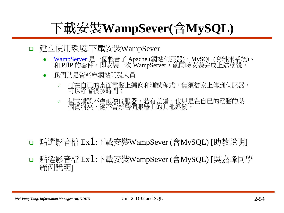## 下載安裝WampSever(含MySQL)

#### □ 建立使用環境:下載安裝WampSever

- <u>[WampServer](http://www.wampserver.com/en/)</u> 是一個整合了 Apache (網站伺服器)、MySQL (資料庫系統) PHP 的套件,即安裝一次 WampServer
- 我們就是資料庫網站開發人員  $\bullet$ 
	- 可在自己的桌面電腦上編寫和測試程式,無須檔案上傳到伺服器,<br>可以節省很多時間;  $\checkmark$
	- 程式錯誤不會破壞伺服器,若有差錯,也只是在自已的電腦的某一<br>個資料夾,絕不會影響伺服器上的其他系統。  $\checkmark$

- □ 點選影音檔 Ex1: 下載安裝WampSever (含MySQL) [助教說明]
- |點選影音檔 Ex1:下載安裝WampSever (含MySQL) [吳嘉峰同學 範例說明1